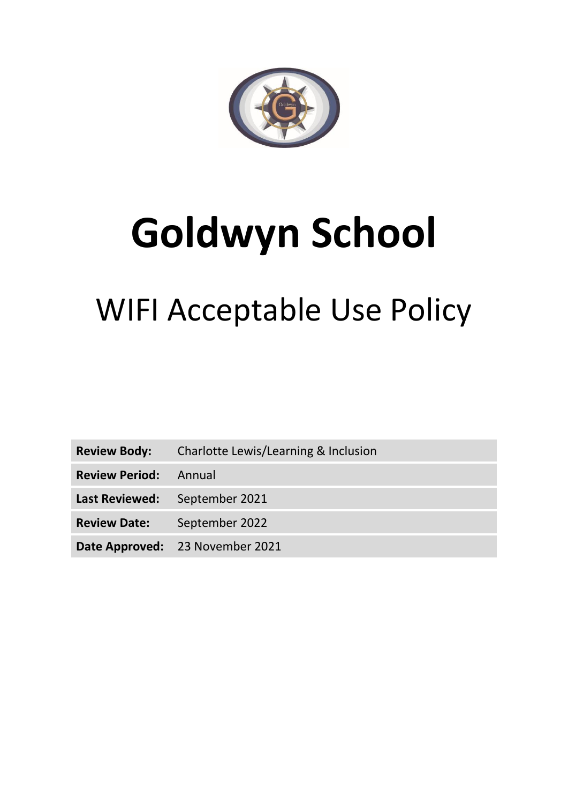

## **Goldwyn School**

## WIFI Acceptable Use Policy

**Review Body:** Charlotte Lewis/Learning & Inclusion

**Review Period:** Annual

**Last Reviewed:** September 2021

**Review Date:** September 2022

**Date Approved:** 23 November 2021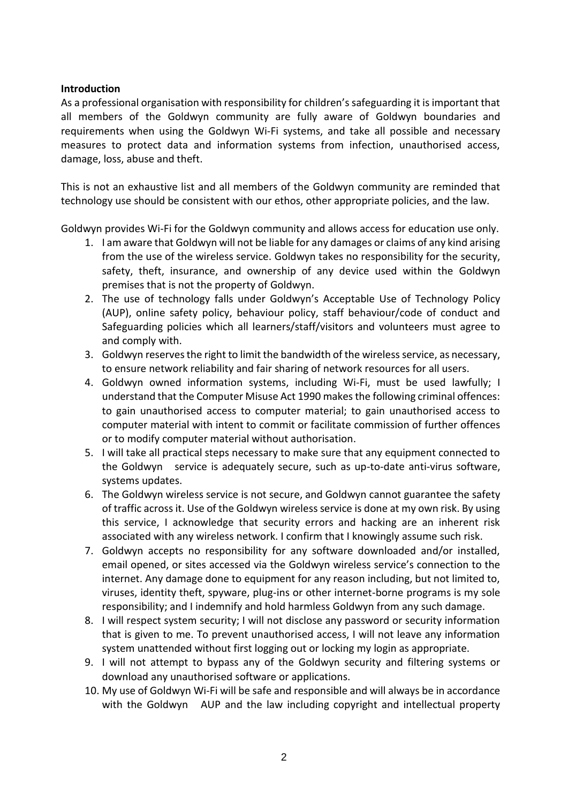## **Introduction**

As a professional organisation with responsibility for children's safeguarding it is important that all members of the Goldwyn community are fully aware of Goldwyn boundaries and requirements when using the Goldwyn Wi-Fi systems, and take all possible and necessary measures to protect data and information systems from infection, unauthorised access, damage, loss, abuse and theft.

This is not an exhaustive list and all members of the Goldwyn community are reminded that technology use should be consistent with our ethos, other appropriate policies, and the law.

Goldwyn provides Wi-Fi for the Goldwyn community and allows access for education use only.

- 1. I am aware that Goldwyn will not be liable for any damages or claims of any kind arising from the use of the wireless service. Goldwyn takes no responsibility for the security, safety, theft, insurance, and ownership of any device used within the Goldwyn premises that is not the property of Goldwyn.
- 2. The use of technology falls under Goldwyn's Acceptable Use of Technology Policy (AUP), online safety policy, behaviour policy, staff behaviour/code of conduct and Safeguarding policies which all learners/staff/visitors and volunteers must agree to and comply with.
- 3. Goldwyn reserves the right to limit the bandwidth of the wireless service, as necessary, to ensure network reliability and fair sharing of network resources for all users.
- 4. Goldwyn owned information systems, including Wi-Fi, must be used lawfully; I understand that the Computer Misuse Act 1990 makes the following criminal offences: to gain unauthorised access to computer material; to gain unauthorised access to computer material with intent to commit or facilitate commission of further offences or to modify computer material without authorisation.
- 5. I will take all practical steps necessary to make sure that any equipment connected to the Goldwyn service is adequately secure, such as up-to-date anti-virus software, systems updates.
- 6. The Goldwyn wireless service is not secure, and Goldwyn cannot guarantee the safety of traffic across it. Use of the Goldwyn wireless service is done at my own risk. By using this service, I acknowledge that security errors and hacking are an inherent risk associated with any wireless network. I confirm that I knowingly assume such risk.
- 7. Goldwyn accepts no responsibility for any software downloaded and/or installed, email opened, or sites accessed via the Goldwyn wireless service's connection to the internet. Any damage done to equipment for any reason including, but not limited to, viruses, identity theft, spyware, plug-ins or other internet-borne programs is my sole responsibility; and I indemnify and hold harmless Goldwyn from any such damage.
- 8. I will respect system security; I will not disclose any password or security information that is given to me. To prevent unauthorised access, I will not leave any information system unattended without first logging out or locking my login as appropriate.
- 9. I will not attempt to bypass any of the Goldwyn security and filtering systems or download any unauthorised software or applications.
- 10. My use of Goldwyn Wi-Fi will be safe and responsible and will always be in accordance with the Goldwyn AUP and the law including copyright and intellectual property